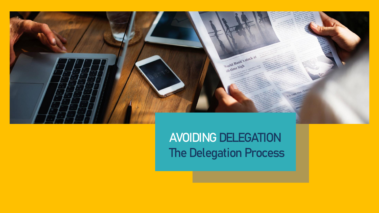

**AVOIDING DELEGATION The Delegation Process**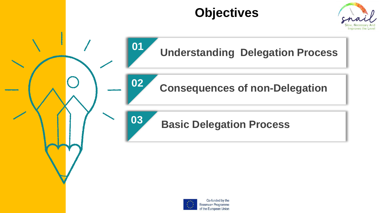# **Objectives**







**Consequences of non-Delegation**



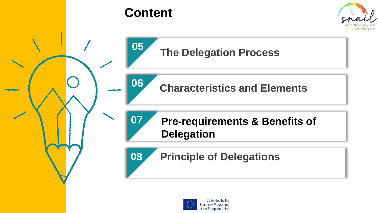

# **Content**



# **The Delegation Process**

**Characteristics and Elements**

# **Pre-requirements & Benefits of Delegation**

**08 Principle of Delegations**

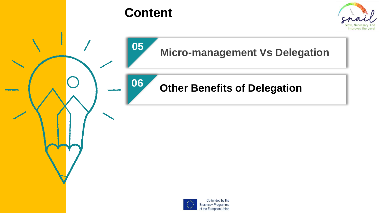

# **Content**

**05**

**06**



# **Micro-management Vs Delegation**

#### **Other Benefits of Delegation**



Co-funded by the Erasmus+ Programme of the European Union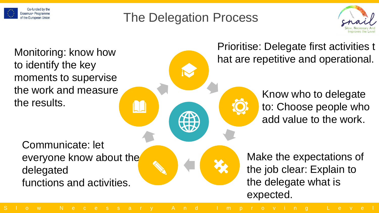

# The Delegation Process



Monitoring: know how to identify the key moments to supervise the work and measure the results.

Communicate: let everyone know about the delegated functions and activities.

Prioritise: Delegate first activities t hat are repetitive and operational.

> Know who to delegate to: Choose people who add value to the work.

Make the expectations of the job clear: Explain to the delegate what is expected.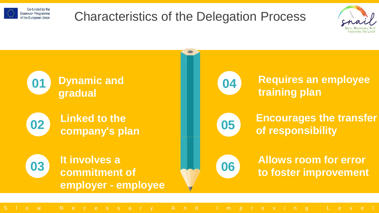

## Characteristics of the Delegation Process



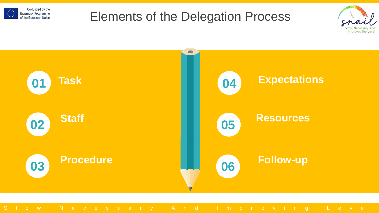

#### Elements of the Delegation Process



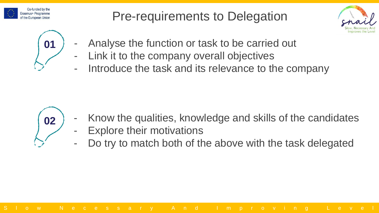

## Pre-requirements to Delegation





- **01** F Analyse the function or task to be carried out
	- Link it to the company overall objectives
	- Introduce the task and its relevance to the company



- Know the qualities, knowledge and skills of the candidates
- **Explore their motivations**
- Do try to match both of the above with the task delegated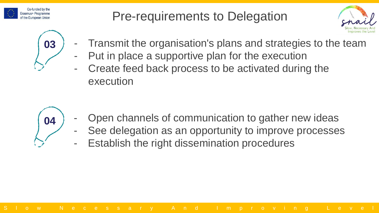

# Pre-requirements to Delegation





- **03** F Transmit the organisation's plans and strategies to the team
	- Put in place a supportive plan for the execution
	- Create feed back process to be activated during the execution



- Open channels of communication to gather new ideas
- See delegation as an opportunity to improve processes
- Establish the right dissemination procedures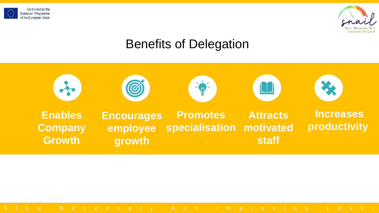



# Benefits of Delegation

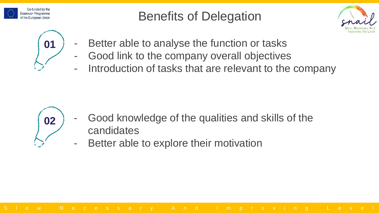

Benefits of Delegation





- **01** F Better able to analyse the function or tasks
	- Good link to the company overall objectives
	- Introduction of tasks that are relevant to the company



- Good knowledge of the qualities and skills of the candidates
- Better able to explore their motivation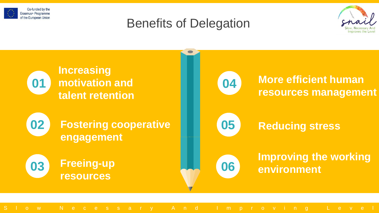

#### Benefits of Delegation



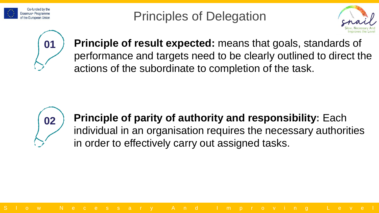

Principles of Delegation





**01 Principle of result expected:** means that goals, standards of performance and targets need to be clearly outlined to direct the actions of the subordinate to completion of the task.



**Principle of parity of authority and responsibility:** Each individual in an organisation requires the necessary authorities in order to effectively carry out assigned tasks.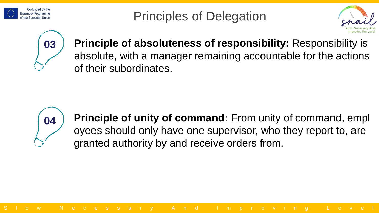

Principles of Delegation





**03 Principle of absoluteness of responsibility:** Responsibility is absolute, with a manager remaining accountable for the actions of their subordinates.



**Principle of unity of command:** From unity of command, empl oyees should only have one supervisor, who they report to, are granted authority by and receive orders from.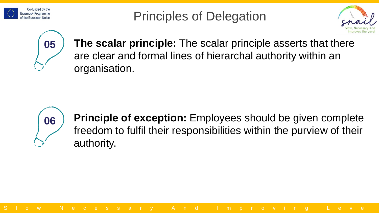

Principles of Delegation





**05** The scalar principle: The scalar principle asserts that there are clear and formal lines of hierarchal authority within an organisation.



**Principle of exception:** Employees should be given complete freedom to fulfil their responsibilities within the purview of their authority.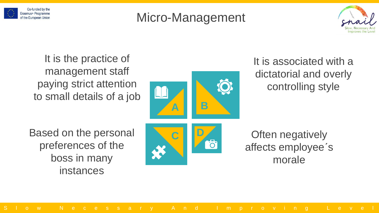

# Micro-Management



It is the practice of management staff paying strict attention to small details of a job



**161** 

It is associated with a dictatorial and overly controlling style

Based on the personal preferences of the boss in many instances



Often negatively affects employee´s morale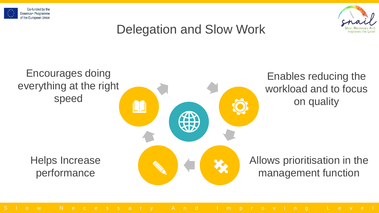



# Delegation and Slow Work

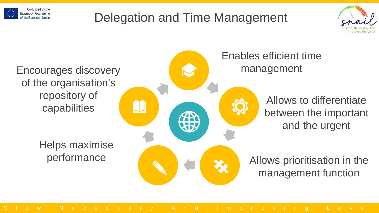

# Delegation and Time Management



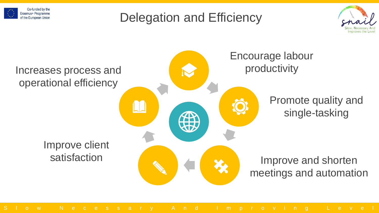